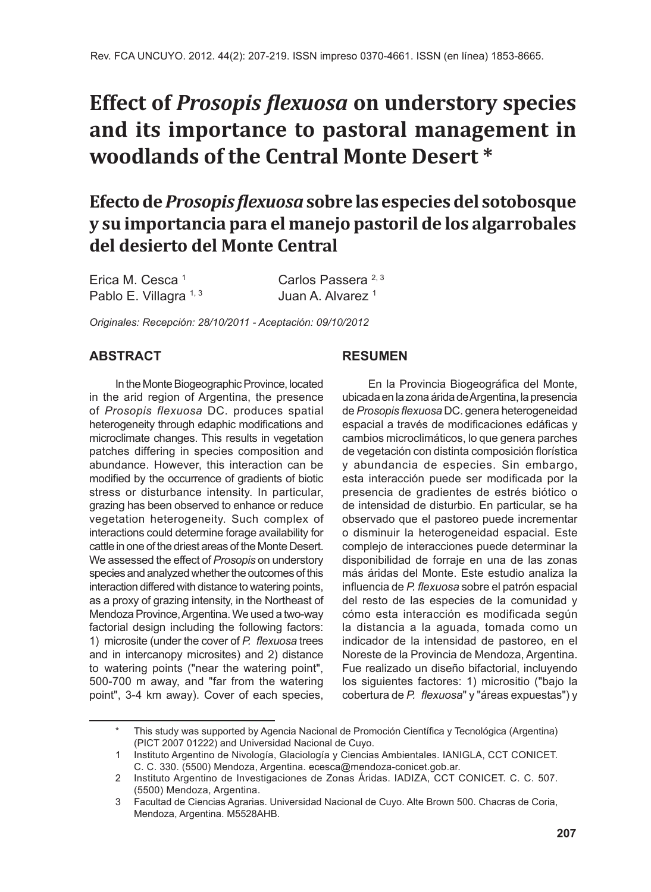# **Effect of** *Prosopis flexuosa* **on understory species and its importance to pastoral management in woodlands of the Central Monte Desert \***

**Efecto de** *Prosopis flexuosa* **sobre las especies del sotobosque y su importancia para el manejo pastoril de los algarrobales del desierto del Monte Central**

Erica M. Cesca<sup>1</sup> Carlos Passera<sup>2, 3</sup> Pablo E. Villagra <sup>1, 3</sup> Juan A. Alvarez <sup>1</sup>

*Originales: Recepción: 28/10/2011 - Aceptación: 09/10/2012*

# **ABSTRACT**

In the Monte Biogeographic Province, located in the arid region of Argentina, the presence of *Prosopis flexuosa* DC. produces spatial heterogeneity through edaphic modifications and microclimate changes. This results in vegetation patches differing in species composition and abundance. However, this interaction can be modified by the occurrence of gradients of biotic stress or disturbance intensity. In particular, grazing has been observed to enhance or reduce vegetation heterogeneity. Such complex of interactions could determine forage availability for cattle in one of the driest areas of the Monte Desert. We assessed the effect of *Prosopis* on understory species and analyzed whether the outcomes of this interaction differed with distance to watering points, as a proxy of grazing intensity, in the Northeast of Mendoza Province, Argentina. We used a two-way factorial design including the following factors: 1) microsite (under the cover of *P. flexuosa* trees and in intercanopy microsites) and 2) distance to watering points ("near the watering point", 500-700 m away, and "far from the watering point", 3-4 km away). Cover of each species,

# **RESUMEN**

En la Provincia Biogeográfica del Monte, ubicada en la zona árida de Argentina, la presencia de *Prosopis flexuosa* DC. genera heterogeneidad espacial a través de modificaciones edáficas y cambios microclimáticos, lo que genera parches de vegetación con distinta composición florística y abundancia de especies. Sin embargo, esta interacción puede ser modificada por la presencia de gradientes de estrés biótico o de intensidad de disturbio. En particular, se ha observado que el pastoreo puede incrementar o disminuir la heterogeneidad espacial. Este complejo de interacciones puede determinar la disponibilidad de forraje en una de las zonas más áridas del Monte. Este estudio analiza la influencia de *P. flexuosa* sobre el patrón espacial del resto de las especies de la comunidad y cómo esta interacción es modificada según la distancia a la aguada, tomada como un indicador de la intensidad de pastoreo, en el Noreste de la Provincia de Mendoza, Argentina. Fue realizado un diseño bifactorial, incluyendo los siguientes factores: 1) micrositio ("bajo la cobertura de *P. flexuosa*" y "áreas expuestas") y

This study was supported by Agencia Nacional de Promoción Científica y Tecnológica (Argentina) (PICT 2007 01222) and Universidad Nacional de Cuyo.

<sup>1</sup> Instituto Argentino de Nivología, Glaciología y Ciencias Ambientales. IANIGLA, CCT CONICET. C. C. 330. (5500) Mendoza, Argentina. ecesca@mendoza-conicet.gob.ar.

<sup>2</sup> Instituto Argentino de Investigaciones de Zonas Áridas. IADIZA, CCT CONICET. C. C. 507. (5500) Mendoza, Argentina.

<sup>3</sup> Facultad de Ciencias Agrarias. Universidad Nacional de Cuyo. Alte Brown 500. Chacras de Coria, Mendoza, Argentina. M5528AHB.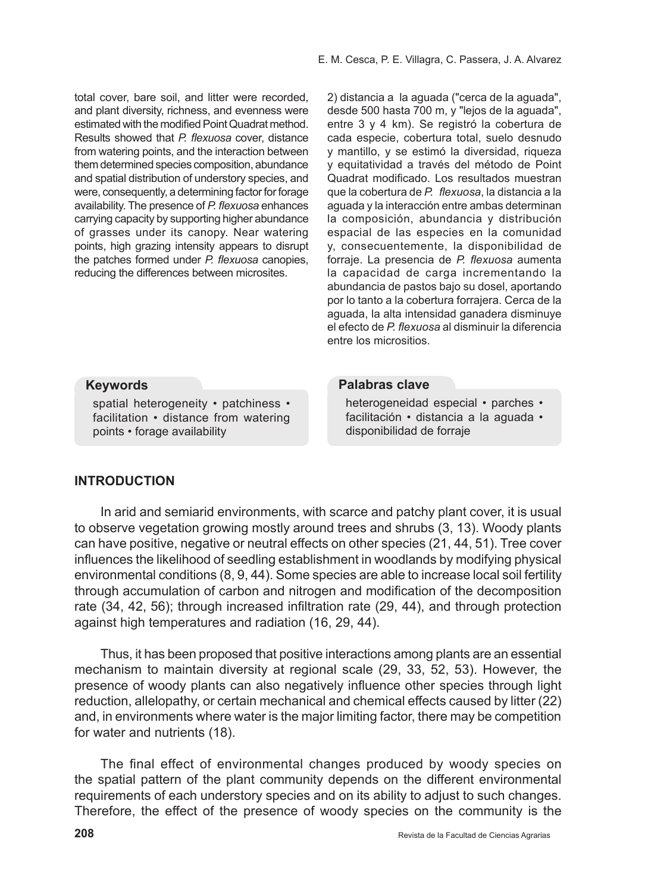total cover, bare soil, and litter were recorded, and plant diversity, richness, and evenness were estimated with the modified Point Quadrat method. Results showed that *P. flexuosa* cover, distance from watering points, and the interaction between them determined species composition, abundance and spatial distribution of understory species, and were, consequently, a determining factor for forage availability. The presence of *P. flexuosa* enhances carrying capacity by supporting higher abundance of grasses under its canopy. Near watering points, high grazing intensity appears to disrupt the patches formed under *P. flexuosa* canopies, reducing the differences between microsites.

2) distancia a la aguada ("cerca de la aguada", desde 500 hasta 700 m, y "lejos de la aguada", entre 3 y 4 km). Se registró la cobertura de cada especie, cobertura total, suelo desnudo y mantillo, y se estimó la diversidad, riqueza y equitatividad a través del método de Point Quadrat modificado. Los resultados muestran que la cobertura de *P. flexuosa*, la distancia a la aguada y la interacción entre ambas determinan la composición, abundancia y distribución espacial de las especies en la comunidad y, consecuentemente, la disponibilidad de forraje. La presencia de *P. flexuosa* aumenta la capacidad de carga incrementando la abundancia de pastos bajo su dosel, aportando por lo tanto a la cobertura forrajera. Cerca de la aguada, la alta intensidad ganadera disminuye el efecto de *P. flexuosa* al disminuir la diferencia entre los micrositios.

#### **Keywords**

spatial heterogeneity • patchiness • facilitation • distance from watering points • forage availability

#### **Palabras clave**

heterogeneidad especial • parches • facilitación • distancia a la aguada • disponibilidad de forraje

# **INTRODUCTION**

In arid and semiarid environments, with scarce and patchy plant cover, it is usual to observe vegetation growing mostly around trees and shrubs (3, 13). Woody plants can have positive, negative or neutral effects on other species (21, 44, 51). Tree cover influences the likelihood of seedling establishment in woodlands by modifying physical environmental conditions (8, 9, 44). Some species are able to increase local soil fertility through accumulation of carbon and nitrogen and modification of the decomposition rate (34, 42, 56); through increased infiltration rate (29, 44), and through protection against high temperatures and radiation (16, 29, 44).

Thus, it has been proposed that positive interactions among plants are an essential mechanism to maintain diversity at regional scale (29, 33, 52, 53). However, the presence of woody plants can also negatively influence other species through light reduction, allelopathy, or certain mechanical and chemical effects caused by litter (22) and, in environments where water is the major limiting factor, there may be competition for water and nutrients (18).

The final effect of environmental changes produced by woody species on the spatial pattern of the plant community depends on the different environmental requirements of each understory species and on its ability to adjust to such changes. Therefore, the effect of the presence of woody species on the community is the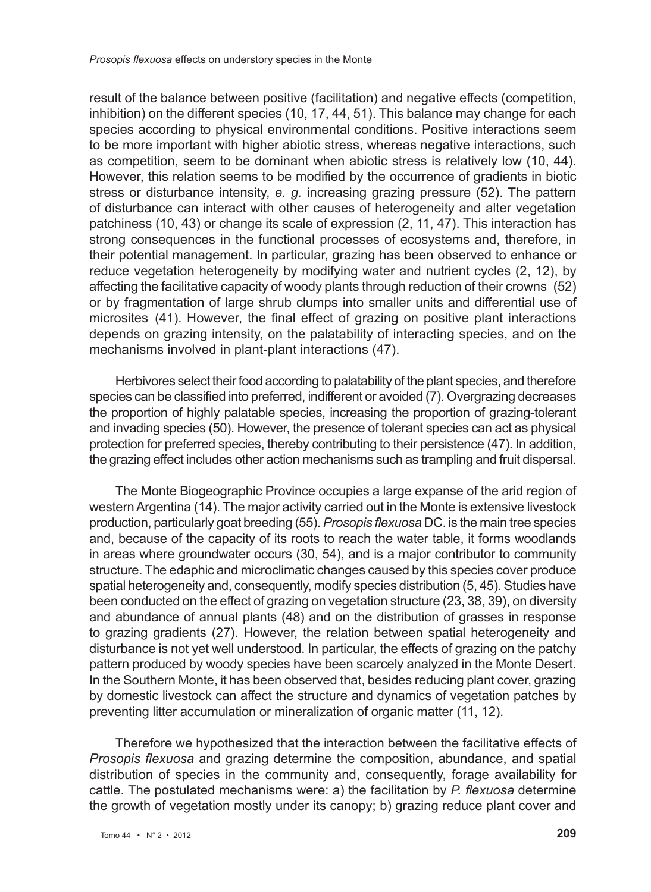result of the balance between positive (facilitation) and negative effects (competition, inhibition) on the different species (10, 17, 44, 51). This balance may change for each species according to physical environmental conditions. Positive interactions seem to be more important with higher abiotic stress, whereas negative interactions, such as competition, seem to be dominant when abiotic stress is relatively low (10, 44). However, this relation seems to be modified by the occurrence of gradients in biotic stress or disturbance intensity, *e. g.* increasing grazing pressure (52). The pattern of disturbance can interact with other causes of heterogeneity and alter vegetation patchiness (10, 43) or change its scale of expression (2, 11, 47). This interaction has strong consequences in the functional processes of ecosystems and, therefore, in their potential management. In particular, grazing has been observed to enhance or reduce vegetation heterogeneity by modifying water and nutrient cycles (2, 12), by affecting the facilitative capacity of woody plants through reduction of their crowns (52) or by fragmentation of large shrub clumps into smaller units and differential use of microsites (41). However, the final effect of grazing on positive plant interactions depends on grazing intensity, on the palatability of interacting species, and on the mechanisms involved in plant-plant interactions (47).

Herbivores select their food according to palatability of the plant species, and therefore species can be classified into preferred, indifferent or avoided (7). Overgrazing decreases the proportion of highly palatable species, increasing the proportion of grazing-tolerant and invading species (50). However, the presence of tolerant species can act as physical protection for preferred species, thereby contributing to their persistence (47). In addition, the grazing effect includes other action mechanisms such as trampling and fruit dispersal.

The Monte Biogeographic Province occupies a large expanse of the arid region of western Argentina (14). The major activity carried out in the Monte is extensive livestock production, particularly goat breeding (55). *Prosopis flexuosa* DC. is the main tree species and, because of the capacity of its roots to reach the water table, it forms woodlands in areas where groundwater occurs (30, 54), and is a major contributor to community structure. The edaphic and microclimatic changes caused by this species cover produce spatial heterogeneity and, consequently, modify species distribution (5, 45). Studies have been conducted on the effect of grazing on vegetation structure (23, 38, 39), on diversity and abundance of annual plants (48) and on the distribution of grasses in response to grazing gradients (27). However, the relation between spatial heterogeneity and disturbance is not yet well understood. In particular, the effects of grazing on the patchy pattern produced by woody species have been scarcely analyzed in the Monte Desert. In the Southern Monte, it has been observed that, besides reducing plant cover, grazing by domestic livestock can affect the structure and dynamics of vegetation patches by preventing litter accumulation or mineralization of organic matter (11, 12).

Therefore we hypothesized that the interaction between the facilitative effects of *Prosopis flexuosa* and grazing determine the composition, abundance, and spatial distribution of species in the community and, consequently, forage availability for cattle. The postulated mechanisms were: a) the facilitation by *P. flexuosa* determine the growth of vegetation mostly under its canopy; b) grazing reduce plant cover and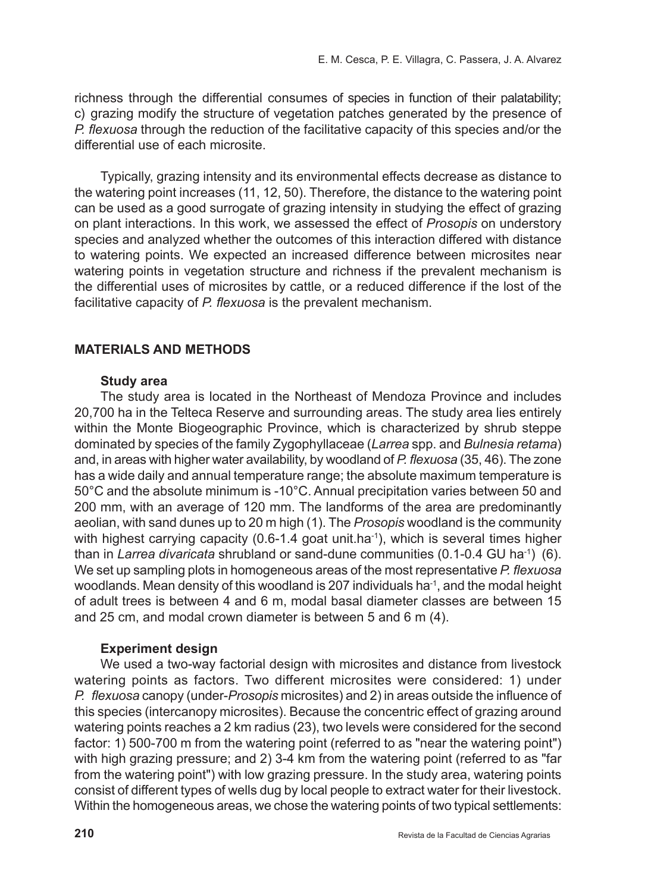richness through the differential consumes of species in function of their palatability; c) grazing modify the structure of vegetation patches generated by the presence of *P. flexuosa* through the reduction of the facilitative capacity of this species and/or the differential use of each microsite.

Typically, grazing intensity and its environmental effects decrease as distance to the watering point increases (11, 12, 50). Therefore, the distance to the watering point can be used as a good surrogate of grazing intensity in studying the effect of grazing on plant interactions. In this work, we assessed the effect of *Prosopis* on understory species and analyzed whether the outcomes of this interaction differed with distance to watering points. We expected an increased difference between microsites near watering points in vegetation structure and richness if the prevalent mechanism is the differential uses of microsites by cattle, or a reduced difference if the lost of the facilitative capacity of *P. flexuosa* is the prevalent mechanism.

# **MATERIALS AND METHODS**

#### **Study area**

The study area is located in the Northeast of Mendoza Province and includes 20,700 ha in the Telteca Reserve and surrounding areas. The study area lies entirely within the Monte Biogeographic Province, which is characterized by shrub steppe dominated by species of the family Zygophyllaceae (*Larrea* spp. and *Bulnesia retama*) and, in areas with higher water availability, by woodland of *P. flexuosa* (35, 46). The zone has a wide daily and annual temperature range; the absolute maximum temperature is 50°C and the absolute minimum is -10°C. Annual precipitation varies between 50 and 200 mm, with an average of 120 mm. The landforms of the area are predominantly aeolian, with sand dunes up to 20 m high (1). The *Prosopis* woodland is the community with highest carrying capacity (0.6-1.4 goat unit.ha<sup>-1</sup>), which is several times higher than in *Larrea divaricata* shrubland or sand-dune communities (0.1-0.4 GU ha-1) (6). We set up sampling plots in homogeneous areas of the most representative *P. flexuosa*  woodlands. Mean density of this woodland is 207 individuals ha<sup>-1</sup>, and the modal height of adult trees is between 4 and 6 m, modal basal diameter classes are between 15 and 25 cm, and modal crown diameter is between 5 and 6 m (4).

### **Experiment design**

We used a two-way factorial design with microsites and distance from livestock watering points as factors. Two different microsites were considered: 1) under *P. flexuosa* canopy (under-*Prosopis* microsites) and 2) in areas outside the influence of this species (intercanopy microsites). Because the concentric effect of grazing around watering points reaches a 2 km radius (23), two levels were considered for the second factor: 1) 500-700 m from the watering point (referred to as "near the watering point") with high grazing pressure; and 2) 3-4 km from the watering point (referred to as "far from the watering point") with low grazing pressure. In the study area, watering points consist of different types of wells dug by local people to extract water for their livestock. Within the homogeneous areas, we chose the watering points of two typical settlements: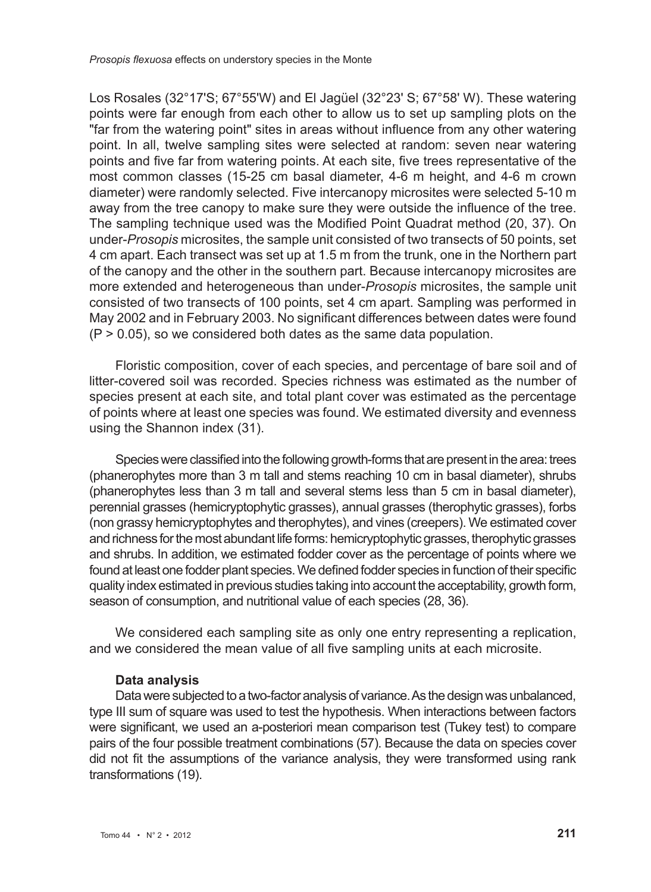Los Rosales (32°17'S; 67°55'W) and El Jagüel (32°23' S; 67°58' W). These watering points were far enough from each other to allow us to set up sampling plots on the "far from the watering point" sites in areas without influence from any other watering point. In all, twelve sampling sites were selected at random: seven near watering points and five far from watering points. At each site, five trees representative of the most common classes (15-25 cm basal diameter, 4-6 m height, and 4-6 m crown diameter) were randomly selected. Five intercanopy microsites were selected 5-10 m away from the tree canopy to make sure they were outside the influence of the tree. The sampling technique used was the Modified Point Quadrat method (20, 37). On under-*Prosopis* microsites, the sample unit consisted of two transects of 50 points, set 4 cm apart. Each transect was set up at 1.5 m from the trunk, one in the Northern part of the canopy and the other in the southern part. Because intercanopy microsites are more extended and heterogeneous than under-*Prosopis* microsites, the sample unit consisted of two transects of 100 points, set 4 cm apart. Sampling was performed in May 2002 and in February 2003. No significant differences between dates were found  $(P > 0.05)$ , so we considered both dates as the same data population.

Floristic composition, cover of each species, and percentage of bare soil and of litter-covered soil was recorded. Species richness was estimated as the number of species present at each site, and total plant cover was estimated as the percentage of points where at least one species was found. We estimated diversity and evenness using the Shannon index (31).

Species were classified into the following growth-forms that are present in the area: trees (phanerophytes more than 3 m tall and stems reaching 10 cm in basal diameter), shrubs (phanerophytes less than 3 m tall and several stems less than 5 cm in basal diameter), perennial grasses (hemicryptophytic grasses), annual grasses (therophytic grasses), forbs (non grassy hemicryptophytes and therophytes), and vines (creepers). We estimated cover and richness for the most abundant life forms: hemicryptophytic grasses, therophytic grasses and shrubs. In addition, we estimated fodder cover as the percentage of points where we found at least one fodder plant species. We defined fodder species in function of their specific quality index estimated in previous studies taking into account the acceptability, growth form, season of consumption, and nutritional value of each species (28, 36).

We considered each sampling site as only one entry representing a replication, and we considered the mean value of all five sampling units at each microsite.

### **Data analysis**

Data were subjected to a two-factor analysis of variance. As the design was unbalanced, type III sum of square was used to test the hypothesis. When interactions between factors were significant, we used an a-posteriori mean comparison test (Tukey test) to compare pairs of the four possible treatment combinations (57). Because the data on species cover did not fit the assumptions of the variance analysis, they were transformed using rank transformations (19).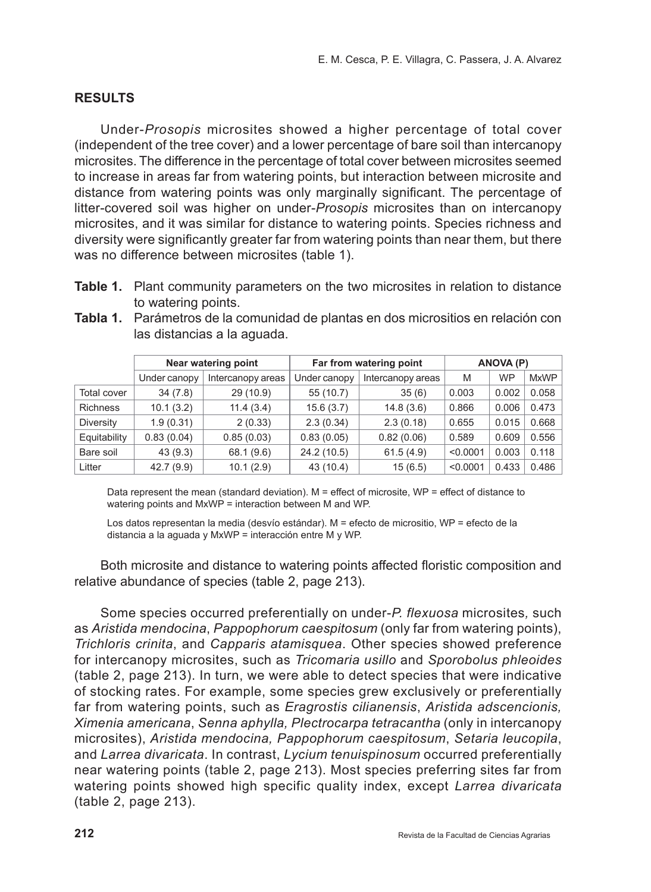# **RESULTS**

Under-*Prosopis* microsites showed a higher percentage of total cover (independent of the tree cover) and a lower percentage of bare soil than intercanopy microsites. The difference in the percentage of total cover between microsites seemed to increase in areas far from watering points, but interaction between microsite and distance from watering points was only marginally significant. The percentage of litter-covered soil was higher on under-*Prosopis* microsites than on intercanopy microsites, and it was similar for distance to watering points. Species richness and diversity were significantly greater far from watering points than near them, but there was no difference between microsites (table 1).

**Table 1.** Plant community parameters on the two microsites in relation to distance to watering points.

|                 |              | Near watering point |              | Far from watering point |          | ANOVA (P) |             |
|-----------------|--------------|---------------------|--------------|-------------------------|----------|-----------|-------------|
|                 | Under canopy | Intercanopy areas   | Under canopy | Intercanopy areas       | M        | <b>WP</b> | <b>MxWP</b> |
| Total cover     | 34(7.8)      | 29 (10.9)           | 55 (10.7)    | 35(6)                   | 0.003    | 0.002     | 0.058       |
| <b>Richness</b> | 10.1(3.2)    | 11.4(3.4)           | 15.6(3.7)    | 14.8(3.6)               | 0.866    | 0.006     | 0.473       |
| Diversity       | 1.9(0.31)    | 2(0.33)             | 2.3(0.34)    | 2.3(0.18)               | 0.655    | 0.015     | 0.668       |
| Equitability    | 0.83(0.04)   | 0.85(0.03)          | 0.83(0.05)   | 0.82(0.06)              | 0.589    | 0.609     | 0.556       |
| Bare soil       | 43(9.3)      | 68.1 (9.6)          | 24.2 (10.5)  | 61.5(4.9)               | < 0.0001 | 0.003     | 0.118       |
| Litter          | 42.7 (9.9)   | 10.1(2.9)           | 43 (10.4)    | 15(6.5)                 | < 0.0001 | 0.433     | 0.486       |

**Tabla 1.** Parámetros de la comunidad de plantas en dos micrositios en relación con las distancias a la aguada.

Data represent the mean (standard deviation). M = effect of microsite, WP = effect of distance to watering points and MxWP = interaction between M and WP.

Los datos representan la media (desvío estándar). M = efecto de micrositio, WP = efecto de la distancia a la aguada y MxWP = interacción entre M y WP.

Both microsite and distance to watering points affected floristic composition and relative abundance of species (table 2, page 213).

Some species occurred preferentially on under-*P. flexuosa* microsites*,* such as *Aristida mendocina*, *Pappophorum caespitosum* (only far from watering points), *Trichloris crinita*, and *Capparis atamisquea*. Other species showed preference for intercanopy microsites, such as *Tricomaria usillo* and *Sporobolus phleoides* (table 2, page 213). In turn, we were able to detect species that were indicative of stocking rates. For example, some species grew exclusively or preferentially far from watering points, such as *Eragrostis cilianensis*, *Aristida adscencionis, Ximenia americana*, *Senna aphylla, Plectrocarpa tetracantha* (only in intercanopy microsites), *Aristida mendocina, Pappophorum caespitosum*, *Setaria leucopila*, and *Larrea divaricata*. In contrast, *Lycium tenuispinosum* occurred preferentially near watering points (table 2, page 213). Most species preferring sites far from watering points showed high specific quality index, except *Larrea divaricata* (table 2, page 213).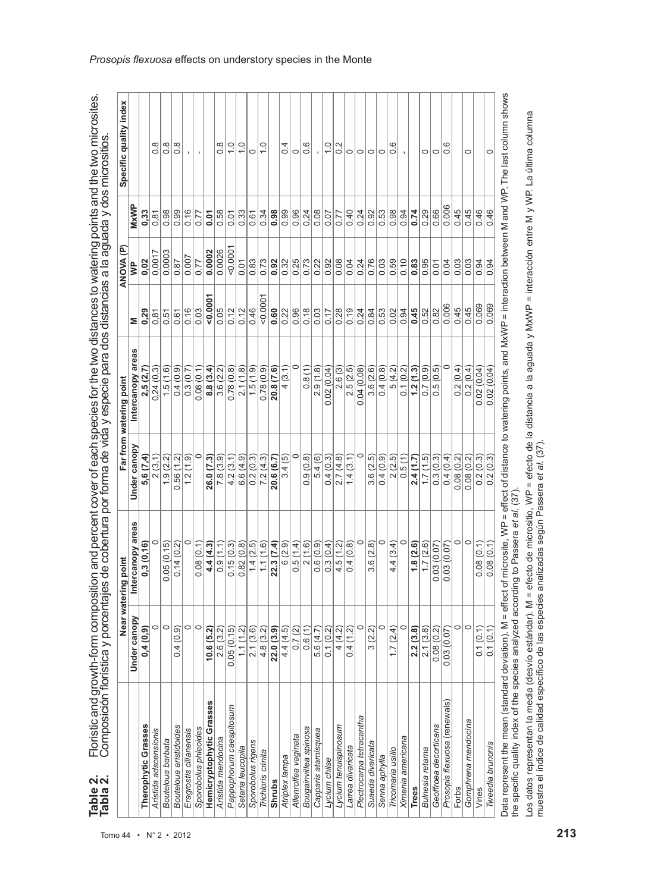| Ó<br>İ<br>i<br>$\ddot{\phantom{a}}$                                                                                           |
|-------------------------------------------------------------------------------------------------------------------------------|
| -<br>-<br>-<br>えいこく<br>ا<br>ا<br>Nictoral                                                                                     |
| יי ההתנגל<br>;<br>;                                                                                                           |
| i<br>י<br>֧֧ׅ֧֦֧֦֧֦֧֧֧֧֦֧֧֧֧֧ׅ֧֧֧֧֧ׅ֧֧֚֚֚֚֚֚֚֚֚֚֚֚֚֚֚֚֚֚֚֚֚֚֚֚֚֚֚֚֚֚֚֚֚֡֓֓֡֓֓֓֡֓֡֓֡֓֡֓֓֡֞֞֡֓֝֓֞֡֓֝֬֞֝֓֝֬֜֓֜֝֬<br>ļ            |
| י המווחות וה<br>ĺ<br>į<br>i<br>.<br>ا<br>i<br>֕                                                                               |
| $\sum_{i=1}^{n}$<br>S<br>l<br>ׅ֦֧ׅ֧֧֧֧ׅ֧֧ׅ֧֧ׅ֧֧ׅ֧֧ׅ֧֧֚֚֚֚֚֚֚֚֚֚֚֚֚֚֚֚֚֚֚֚֚֚֡֡֡֜֓֡֡֡֓֡֡֬֜֓֡֬֓֓֓֓֓֓֜֓֜֓֜֝֬֜֝֬֜֝֬<br>ļ<br>Ś<br>j |
| ׅ֚֡֡֡֡֡֡֡֝<br>į<br>j<br>¢<br>Ó                                                                                                |

|                                                                                                                                                                                   |                           | Near watering point |              | Far from watering point |                   | ê<br>ANOVA |       | Specific quality index |
|-----------------------------------------------------------------------------------------------------------------------------------------------------------------------------------|---------------------------|---------------------|--------------|-------------------------|-------------------|------------|-------|------------------------|
|                                                                                                                                                                                   | Under canopy              | Intercanopy areas   | Under canopy | Intercanopy areas       |                   |            | MxWP  |                        |
| Therophytic Grasses                                                                                                                                                               | 0,4(0,9)                  | 0,3(0,16)           | 5,6 (7,4)    | 2,5(2,7)                | 0.29              | 0.02       | 0.33  |                        |
| Aristida adscensionis                                                                                                                                                             | 0                         |                     | 2(3,1)       | 0,24(0,3)               | 0,81              | 0,0017     | 0,81  | $\frac{8}{2}$          |
| Bouteloua barbata                                                                                                                                                                 | $\circ$                   | 0.05(0.15)          | 1.9(2.2)     | 1.5(1.6)                | $\frac{6}{15}$    | 0.0003     | 0.98  | $0.\overline{8}$       |
| Bouteloua aristidoides                                                                                                                                                            | (0.9)<br>$\overline{0.4}$ | 0.14(0.2)           | 0.56(1.2)    | 0.4(0.9)                | 0.61              | 0.87       | 0.99  | $\frac{8}{1}$          |
| Eragrostis cilianensis                                                                                                                                                            | 0                         |                     | 1.2(1.9)     | 0.3(0.7)                | 0.16              | 0.007      | 0.16  |                        |
| Sporobolus phleoides                                                                                                                                                              | $\circ$                   | 0.08(0.1)           |              | 0.08(0.1)               | 0.03              | 0.77       | 0.77  |                        |
| Hemicryptophytic Grasses                                                                                                                                                          | (5.2)                     | 4.4(4.3)            | 26.0 (7.3)   | 8.8(3.4)                | 0.000             | 0.0002     | 0.01  |                        |
| Aristida mendocina                                                                                                                                                                | 2.6 (3.2)                 | 0.9(1.1)            | 7.8(3.9)     | 3.6(2.2)                | 0.05              | 0.0026     | 0.58  | 0.8                    |
| Pappophorum caespitosum                                                                                                                                                           | 0.05(0.15)                | 0.15(0.3)           | 4.2(3.1)     | 0.78(0.8)               | 0.12              | $-0.000$   | 0.01  | $\overline{1}$ . O     |
| Setaria leucopila                                                                                                                                                                 | 1.1(1.2)                  | 0.82(0.8)           | 6.6(4.9)     | 2.1(1.8)                | 0.12              | 0.01       | 0.33  | $\overline{1}$ .       |
| Sporobolus rigens                                                                                                                                                                 | 2.1(3.6)                  | 1.4(2.5)            | 0.2(0.3)     | (1.5(1.9))              | 0.46              | 0.83       | 0.61  | $\circ$                |
| Trichloris crinita                                                                                                                                                                | 4.8 (3.2)                 | 1.1(1.6)            | 7.2(4.3)     | 0.78(0.9)               | $-0.000$          | 0.73       | 0.34  | $\frac{0}{1}$          |
| <b>Shrubs</b>                                                                                                                                                                     | 22.0(3.9)                 | 22.3 (7.4)          | 20.6 (6.7)   | 20.8 (7.6)              | 0.60              | 0.92       | 0.98  |                        |
| Atriplex lampa                                                                                                                                                                    | 4.4 (4.5)                 | 6(2.9)              | 3.4(5)       | 4(3.1)                  | $\overline{0.22}$ | 0.32       | 0.99  | $\overline{0.4}$       |
| Allenrolfea vaginata                                                                                                                                                              | 0.7(2)                    | 0.5(1.4)            |              |                         | $\frac{0.96}{0}$  | 0.25       | 0.96  | $\circ$                |
| Bougainvillea spinosa                                                                                                                                                             | 0.6(1)                    | 2(1.6)              | 0.9(0.8)     | 0.8(1)                  | 0.18              | 0.73       | 0,24  | 0.6                    |
| Capparis atamisquea                                                                                                                                                               | 5.6 (4.7)                 | 0.6(0.9)            | 5.4 (6)      | 2.9(1.8)                | 0.03              | 0.22       | 0.08  |                        |
| Lycium chilse                                                                                                                                                                     | 0.1(0.2)                  | 0.3(0.4)            | 0.4(0.3)     | 0.02(0.04)              | 0.17              | 0.92       | 0.07  | $\frac{0}{1}$          |
| Lycium tenuispinosum                                                                                                                                                              | 4(4.2)                    | 4.5(1.2)            | 2.7(4.8)     | 2.6(3)                  | 0.28              | 0.08       | 0.77  | 0.2                    |
| Larrea divaricata                                                                                                                                                                 | 0.4(1.2)                  | 0.4(0.8)            | 1.4(3.1)     | 2.5(2.5)                | 0.19              | 0.04       | 0.40  | $\circ$                |
| Plectrocarpa tetracantha                                                                                                                                                          |                           | $\circ$             | 0            | 0.04(0.08)              | 0.24              | 0.24       | 0.24  | $\circ$                |
| Suaeda divaricata                                                                                                                                                                 | 3(2.2)                    | 3.6(2.8)            | 3.6(2.5)     | 3.6(2.6)                | 0.84              | 0.76       | 0.92  | $\circ$                |
| Senna aphylla                                                                                                                                                                     | $\circ$                   | $\circ$             | 0.4(0.9)     | 0.4(0.8)                | 0.53              | 0.03       | 0.53  | $\circ$                |
| Tricomaria usillo                                                                                                                                                                 | 1.7(2.4)                  | 4.4 (3.4)           | 2(2.5)       | 5(4.2)                  | $\overline{0.02}$ | 0.59       | 0.98  | ٯ<br>ö                 |
| Ximenia americana                                                                                                                                                                 |                           | $\circ$             | 0.5(1)       | 0.1(0.2)                | 0.94              | 0.10       | 0.94  |                        |
| <b>Trees</b>                                                                                                                                                                      | 2.2(3.8)                  | 1.8(2.6)            | 2.4(1.7)     | 1.2(1.3)                | 0.45              | 0.83       | 0.74  |                        |
| Bulnesia retama                                                                                                                                                                   | 2.1(3.8)                  | 1.7(2.6)            | 1.7(1.5)     | 0.7(0.9)                | 0.52              | 0.95       | 0.29  | $\circ$                |
| Geoffroea decorticans                                                                                                                                                             | 0.08(0.2)                 | 0.03(0.07)          | 0.3(0.3)     | 0.5(0.5)                | 0.82              | 0.01       | 0.66  | $\circ$                |
| Prosopis flexuosa (renewals)                                                                                                                                                      | 0.03 (0.07)               | 0.03(0.07)          | 0.4(0.4)     |                         | 0.006             | 0.04       | 0.006 | 0.6                    |
| Forbs                                                                                                                                                                             |                           | 0                   | 0.08(0.2)    | 0.2(0.4)                | 0.45              | 0.03       | 0.45  |                        |
| Gomphrena mendocina                                                                                                                                                               | $\circ$                   | $\circ$             | 0.08(0.2)    | 0.2(0.4)                | 0.45              | 0.03       | 0.45  | 0                      |
| Vines                                                                                                                                                                             | 0.1(0.1)                  | 0.08(0.1)           | 0.2(0.3)     | 0.02(0.04)              | 0.069             | 0.94       | 0.46  |                        |
| Tweedia brunonis                                                                                                                                                                  | 0.1(0.1)                  | 0.08(0.1)           | 0.2(0.3)     | 0.02(0.04)              | 0.069             | 0.94       | 0.46  | 0                      |
| Data represent the mean (standard deviation). M = effect of microsite, WP = effect of distance to watering points, and MXWP = interaction between M and WP. The last column shows |                           |                     |              |                         |                   |            |       |                        |

the specific quality index of the species analyzed according to Passera et al. (37). the specific quality index of the species analyzed according to Passera *et al.* (37). ă

Los datos representan la media (desvio estándar). M = efecto de micrositio, WP = efecto de la distancia a la aguada y MxWP = interacción entre M y WP. La última columna<br>muestra el índice de calidad específico de las espec Los datos representan la media (desvío estándar). M = efecto de micrositio, WP = efecto de la distancia a la aguada y MxWP = interacción entre M y WP. La última columna muestra el índice de calidad específico de las especies analizadas según Passera *et al.* (37).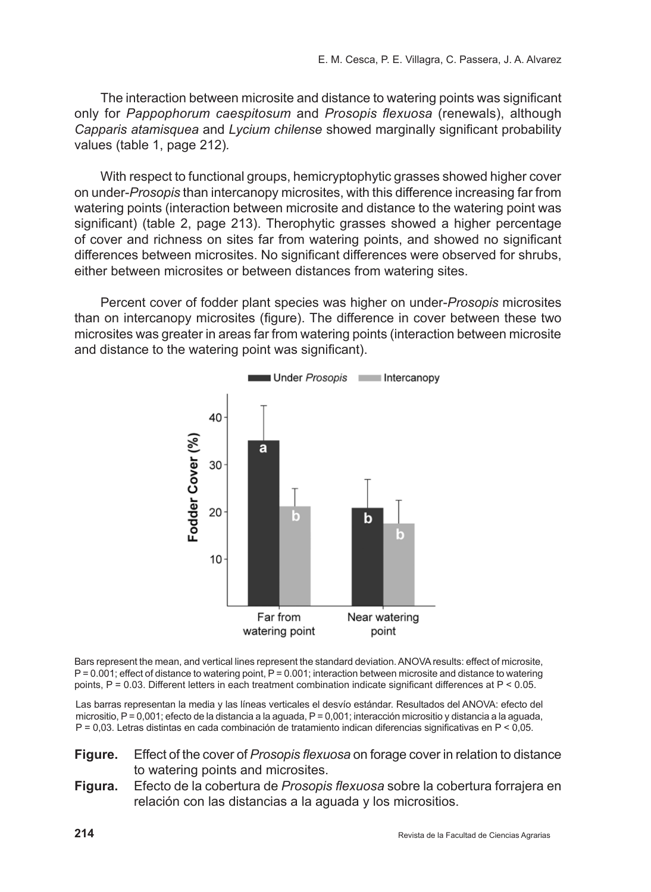The interaction between microsite and distance to watering points was significant only for *Pappophorum caespitosum* and *Prosopis flexuosa* (renewals), although *Capparis atamisquea* and *Lycium chilense* showed marginally significant probability values (table 1, page 212)*.* 

With respect to functional groups, hemicryptophytic grasses showed higher cover on under-*Prosopis* than intercanopy microsites, with this difference increasing far from watering points (interaction between microsite and distance to the watering point was significant) (table 2, page 213). Therophytic grasses showed a higher percentage of cover and richness on sites far from watering points, and showed no significant differences between microsites. No significant differences were observed for shrubs, either between microsites or between distances from watering sites.

Percent cover of fodder plant species was higher on under-*Prosopis* microsites than on intercanopy microsites (figure). The difference in cover between these two microsites was greater in areas far from watering points (interaction between microsite and distance to the watering point was significant).



Bars represent the mean, and vertical lines represent the standard deviation. ANOVA results: effect of microsite, P = 0.001; effect of distance to watering point, P = 0.001; interaction between microsite and distance to watering points, P = 0.03. Different letters in each treatment combination indicate significant differences at P < 0.05.

Las barras representan la media y las líneas verticales el desvío estándar. Resultados del ANOVA: efecto del micrositio, P = 0,001; efecto de la distancia a la aguada, P = 0,001; interacción micrositio y distancia a la aguada, P = 0,03. Letras distintas en cada combinación de tratamiento indican diferencias significativas en P < 0,05.

- **Figure.** Effect of the cover of *Prosopis flexuosa* on forage cover in relation to distance to watering points and microsites.
- **Figura.** Efecto de la cobertura de *Prosopis flexuosa* sobre la cobertura forrajera en relación con las distancias a la aguada y los micrositios.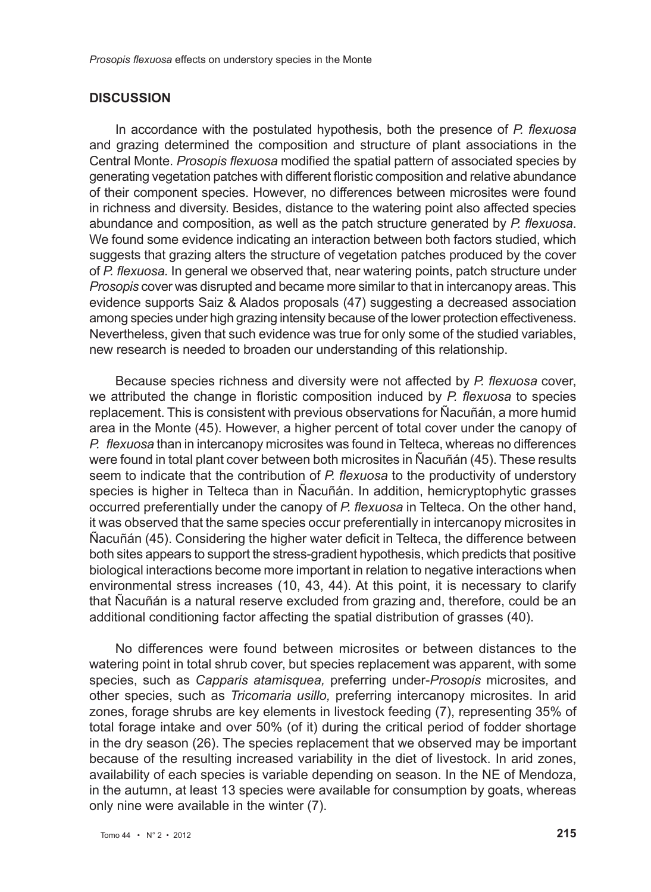### **DISCUSSION**

In accordance with the postulated hypothesis, both the presence of *P. flexuosa* and grazing determined the composition and structure of plant associations in the Central Monte. *Prosopis flexuosa* modified the spatial pattern of associated species by generating vegetation patches with different floristic composition and relative abundance of their component species. However, no differences between microsites were found in richness and diversity. Besides, distance to the watering point also affected species abundance and composition, as well as the patch structure generated by *P. flexuosa*. We found some evidence indicating an interaction between both factors studied, which suggests that grazing alters the structure of vegetation patches produced by the cover of *P. flexuosa.* In general we observed that, near watering points, patch structure under *Prosopis* cover was disrupted and became more similar to that in intercanopy areas. This evidence supports Saiz & Alados proposals (47) suggesting a decreased association among species under high grazing intensity because of the lower protection effectiveness. Nevertheless, given that such evidence was true for only some of the studied variables, new research is needed to broaden our understanding of this relationship.

Because species richness and diversity were not affected by *P. flexuosa* cover, we attributed the change in floristic composition induced by *P. flexuosa* to species replacement. This is consistent with previous observations for Ñacuñán, a more humid area in the Monte (45). However, a higher percent of total cover under the canopy of *P. flexuosa* than in intercanopy microsites was found in Telteca, whereas no differences were found in total plant cover between both microsites in Ñacuñán (45). These results seem to indicate that the contribution of *P. flexuosa* to the productivity of understory species is higher in Telteca than in Ñacuñán. In addition, hemicryptophytic grasses occurred preferentially under the canopy of *P. flexuosa* in Telteca. On the other hand, it was observed that the same species occur preferentially in intercanopy microsites in Ñacuñán (45). Considering the higher water deficit in Telteca, the difference between both sites appears to support the stress-gradient hypothesis, which predicts that positive biological interactions become more important in relation to negative interactions when environmental stress increases (10, 43, 44). At this point, it is necessary to clarify that Ñacuñán is a natural reserve excluded from grazing and, therefore, could be an additional conditioning factor affecting the spatial distribution of grasses (40).

No differences were found between microsites or between distances to the watering point in total shrub cover, but species replacement was apparent, with some species, such as *Capparis atamisquea,* preferring under-*Prosopis* microsites*,* and other species, such as *Tricomaria usillo,* preferring intercanopy microsites. In arid zones, forage shrubs are key elements in livestock feeding (7), representing 35% of total forage intake and over 50% (of it) during the critical period of fodder shortage in the dry season (26). The species replacement that we observed may be important because of the resulting increased variability in the diet of livestock. In arid zones, availability of each species is variable depending on season. In the NE of Mendoza, in the autumn, at least 13 species were available for consumption by goats, whereas only nine were available in the winter (7).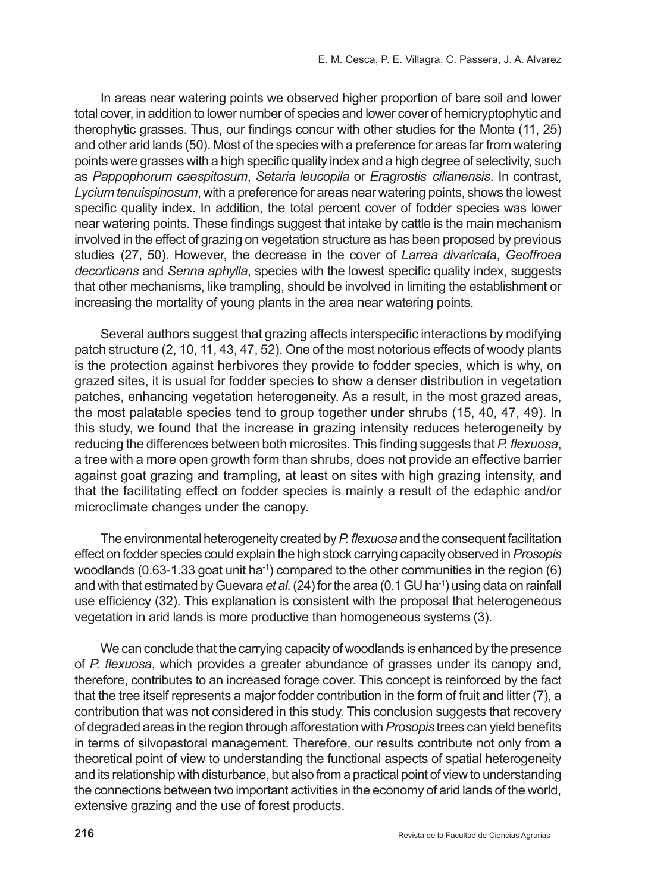In areas near watering points we observed higher proportion of bare soil and lower total cover, in addition to lower number of species and lower cover of hemicryptophytic and therophytic grasses. Thus, our findings concur with other studies for the Monte (11, 25) and other arid lands (50). Most of the species with a preference for areas far from watering points were grasses with a high specific quality index and a high degree of selectivity, such as *Pappophorum caespitosum*, *Setaria leucopila* or *Eragrostis cilianensis*. In contrast, *Lycium tenuispinosum*, with a preference for areas near watering points, shows the lowest specific quality index. In addition, the total percent cover of fodder species was lower near watering points. These findings suggest that intake by cattle is the main mechanism involved in the effect of grazing on vegetation structure as has been proposed by previous studies (27, 50). However, the decrease in the cover of *Larrea divaricata*, *Geoffroea decorticans* and *Senna aphylla*, species with the lowest specific quality index, suggests that other mechanisms, like trampling, should be involved in limiting the establishment or increasing the mortality of young plants in the area near watering points.

Several authors suggest that grazing affects interspecific interactions by modifying patch structure (2, 10, 11, 43, 47, 52). One of the most notorious effects of woody plants is the protection against herbivores they provide to fodder species, which is why, on grazed sites, it is usual for fodder species to show a denser distribution in vegetation patches, enhancing vegetation heterogeneity. As a result, in the most grazed areas, the most palatable species tend to group together under shrubs (15, 40, 47, 49). In this study, we found that the increase in grazing intensity reduces heterogeneity by reducing the differences between both microsites. This finding suggests that *P. flexuosa*, a tree with a more open growth form than shrubs, does not provide an effective barrier against goat grazing and trampling, at least on sites with high grazing intensity, and that the facilitating effect on fodder species is mainly a result of the edaphic and/or microclimate changes under the canopy.

The environmental heterogeneity created by *P. flexuosa* and the consequent facilitation effect on fodder species could explain the high stock carrying capacity observed in *Prosopis* woodlands (0.63-1.33 goat unit ha<sup>-1</sup>) compared to the other communities in the region (6) and with that estimated by Guevara *et al.* (24) for the area (0.1 GU ha<sup>-1</sup>) using data on rainfall use efficiency (32). This explanation is consistent with the proposal that heterogeneous vegetation in arid lands is more productive than homogeneous systems (3).

We can conclude that the carrying capacity of woodlands is enhanced by the presence of *P. flexuosa*, which provides a greater abundance of grasses under its canopy and, therefore, contributes to an increased forage cover. This concept is reinforced by the fact that the tree itself represents a major fodder contribution in the form of fruit and litter (7), a contribution that was not considered in this study. This conclusion suggests that recovery of degraded areas in the region through afforestation with *Prosopis* trees can yield benefits in terms of silvopastoral management. Therefore, our results contribute not only from a theoretical point of view to understanding the functional aspects of spatial heterogeneity and its relationship with disturbance, but also from a practical point of view to understanding the connections between two important activities in the economy of arid lands of the world, extensive grazing and the use of forest products.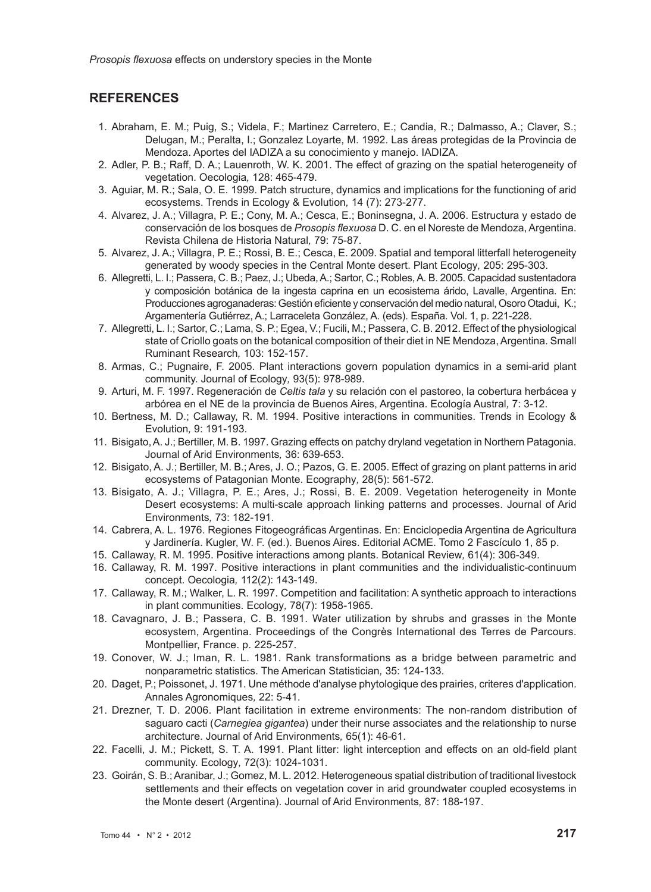# **REFERENCES**

- 1. Abraham, E. M.; Puig, S.; Videla, F.; Martinez Carretero, E.; Candia, R.; Dalmasso, A.; Claver, S.; Delugan, M.; Peralta, I.; Gonzalez Loyarte, M. 1992. Las áreas protegidas de la Provincia de Mendoza. Aportes del IADIZA a su conocimiento y manejo. IADIZA.
- 2. Adler, P. B.; Raff, D. A.; Lauenroth, W. K. 2001. The effect of grazing on the spatial heterogeneity of vegetation. Oecologia*,* 128: 465-479.
- 3. Aguiar, M. R.; Sala, O. E. 1999. Patch structure, dynamics and implications for the functioning of arid ecosystems. Trends in Ecology & Evolution*,* 14 (7): 273-277.
- 4. Alvarez, J. A.; Villagra, P. E.; Cony, M. A.; Cesca, E.; Boninsegna, J. A. 2006. Estructura y estado de conservación de los bosques de *Prosopis flexuosa* D. C. en el Noreste de Mendoza, Argentina. Revista Chilena de Historia Natural*,* 79: 75-87.
- 5. Alvarez, J. A.; Villagra, P. E.; Rossi, B. E.; Cesca, E. 2009. Spatial and temporal litterfall heterogeneity generated by woody species in the Central Monte desert. Plant Ecology*,* 205: 295-303.
- 6. Allegretti, L. I.; Passera, C. B.; Paez, J.; Ubeda, A.; Sartor, C.; Robles, A. B. 2005. Capacidad sustentadora y composición botánica de la ingesta caprina en un ecosistema árido, Lavalle, Argentina. En: Producciones agroganaderas: Gestión eficiente y conservación del medio natural, Osoro Otadui, K.; Argamentería Gutiérrez, A.; Larraceleta González, A. (eds). España. Vol. 1, p. 221-228.
- 7. Allegretti, L. I.; Sartor, C.; Lama, S. P.; Egea, V.; Fucili, M.; Passera, C. B. 2012. Effect of the physiological state of Criollo goats on the botanical composition of their diet in NE Mendoza, Argentina. Small Ruminant Research*,* 103: 152-157.
- 8. Armas, C.; Pugnaire, F. 2005. Plant interactions govern population dynamics in a semi-arid plant community. Journal of Ecology*,* 93(5): 978-989.
- 9. Arturi, M. F. 1997. Regeneración de *Celtis tala* y su relación con el pastoreo, la cobertura herbácea y arbórea en el NE de la provincia de Buenos Aires, Argentina. Ecología Austral*,* 7: 3-12.
- 10. Bertness, M. D.; Callaway, R. M. 1994. Positive interactions in communities. Trends in Ecology & Evolution*,* 9: 191-193.
- 11. Bisigato, A. J.; Bertiller, M. B. 1997. Grazing effects on patchy dryland vegetation in Northern Patagonia. Journal of Arid Environments*,* 36: 639-653.
- 12. Bisigato, A. J.; Bertiller, M. B.; Ares, J. O.; Pazos, G. E. 2005. Effect of grazing on plant patterns in arid ecosystems of Patagonian Monte. Ecography*,* 28(5): 561-572.
- 13. Bisigato, A. J.; Villagra, P. E.; Ares, J.; Rossi, B. E. 2009. Vegetation heterogeneity in Monte Desert ecosystems: A multi-scale approach linking patterns and processes. Journal of Arid Environments*,* 73: 182-191.
- 14. Cabrera, A. L. 1976. Regiones Fitogeográficas Argentinas. En: Enciclopedia Argentina de Agricultura y Jardinería. Kugler, W. F. (ed.). Buenos Aires. Editorial ACME. Tomo 2 Fascículo 1, 85 p.
- 15. Callaway, R. M. 1995. Positive interactions among plants. Botanical Review*,* 61(4): 306-349.
- 16. Callaway, R. M. 1997. Positive interactions in plant communities and the individualistic-continuum concept. Oecologia*,* 112(2): 143-149.
- 17. Callaway, R. M.; Walker, L. R. 1997. Competition and facilitation: A synthetic approach to interactions in plant communities. Ecology*,* 78(7): 1958-1965.
- 18. Cavagnaro, J. B.; Passera, C. B. 1991. Water utilization by shrubs and grasses in the Monte ecosystem, Argentina. Proceedings of the Congrès International des Terres de Parcours. Montpellier, France. p. 225-257.
- 19. Conover, W. J.; Iman, R. L. 1981. Rank transformations as a bridge between parametric and nonparametric statistics. The American Statistician*,* 35: 124-133.
- 20. Daget, P.; Poissonet, J. 1971. Une méthode d'analyse phytologique des prairies, criteres d'application. Annales Agronomiques*,* 22: 5-41.
- 21. Drezner, T. D. 2006. Plant facilitation in extreme environments: The non-random distribution of saguaro cacti (*Carnegiea gigantea*) under their nurse associates and the relationship to nurse architecture. Journal of Arid Environments*,* 65(1): 46-61.
- 22. Facelli, J. M.; Pickett, S. T. A. 1991. Plant litter: light interception and effects on an old-field plant community. Ecology*,* 72(3): 1024-1031.
- 23. Goirán, S. B.; Aranibar, J.; Gomez, M. L. 2012. Heterogeneous spatial distribution of traditional livestock settlements and their effects on vegetation cover in arid groundwater coupled ecosystems in the Monte desert (Argentina). Journal of Arid Environments*,* 87: 188-197.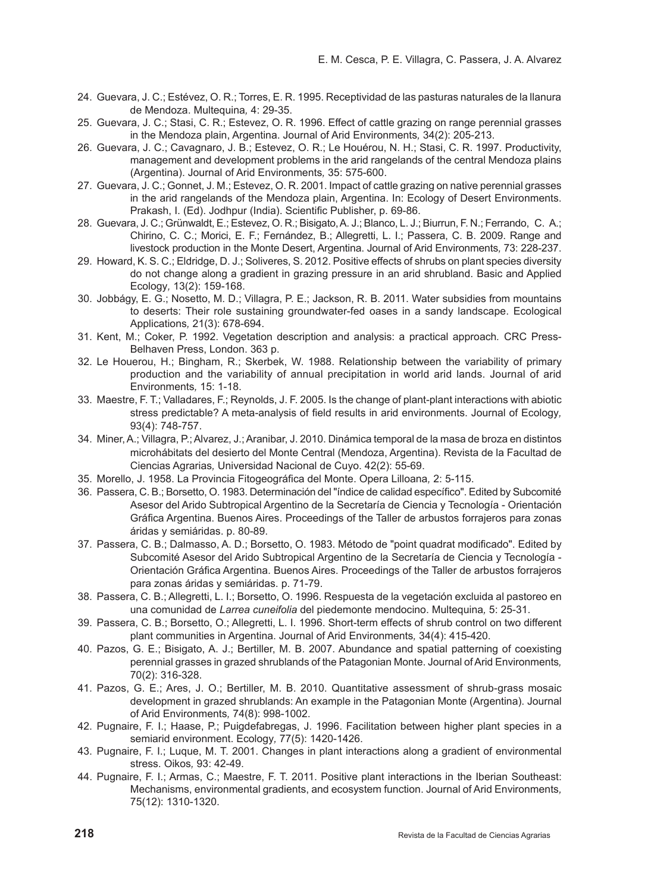- 24. Guevara, J. C.; Estévez, O. R.; Torres, E. R. 1995. Receptividad de las pasturas naturales de la llanura de Mendoza. Multequina*,* 4: 29-35.
- 25. Guevara, J. C.; Stasi, C. R.; Estevez, O. R. 1996. Effect of cattle grazing on range perennial grasses in the Mendoza plain, Argentina. Journal of Arid Environments*,* 34(2): 205-213.
- 26. Guevara, J. C.; Cavagnaro, J. B.; Estevez, O. R.; Le Houérou, N. H.; Stasi, C. R. 1997. Productivity, management and development problems in the arid rangelands of the central Mendoza plains (Argentina). Journal of Arid Environments*,* 35: 575-600.
- 27. Guevara, J. C.; Gonnet, J. M.; Estevez, O. R. 2001. Impact of cattle grazing on native perennial grasses in the arid rangelands of the Mendoza plain, Argentina. In: Ecology of Desert Environments. Prakash, I. (Ed). Jodhpur (India). Scientific Publisher, p. 69-86.
- 28. Guevara, J. C.; Grünwaldt, E.; Estevez, O. R.; Bisigato, A. J.; Blanco, L. J.; Biurrun, F. N.; Ferrando, C. A.; Chirino, C. C.; Morici, E. F.; Fernández, B.; Allegretti, L. I.; Passera, C. B. 2009. Range and livestock production in the Monte Desert, Argentina. Journal of Arid Environments*,* 73: 228-237.
- 29. Howard, K. S. C.; Eldridge, D. J.; Soliveres, S. 2012. Positive effects of shrubs on plant species diversity do not change along a gradient in grazing pressure in an arid shrubland. Basic and Applied Ecology*,* 13(2): 159-168.
- 30. Jobbágy, E. G.; Nosetto, M. D.; Villagra, P. E.; Jackson, R. B. 2011. Water subsidies from mountains to deserts: Their role sustaining groundwater-fed oases in a sandy landscape. Ecological Applications*,* 21(3): 678-694.
- 31. Kent, M.; Coker, P. 1992. Vegetation description and analysis: a practical approach*.* CRC Press-Belhaven Press, London. 363 p.
- 32. Le Houerou, H.; Bingham, R.; Skerbek, W. 1988. Relationship between the variability of primary production and the variability of annual precipitation in world arid lands. Journal of arid Environments*,* 15: 1-18.
- 33. Maestre, F. T.; Valladares, F.; Reynolds, J. F. 2005. Is the change of plant-plant interactions with abiotic stress predictable? A meta-analysis of field results in arid environments. Journal of Ecology*,* 93(4): 748-757.
- 34. Miner, A.; Villagra, P.; Alvarez, J.; Aranibar, J. 2010. Dinámica temporal de la masa de broza en distintos microhábitats del desierto del Monte Central (Mendoza, Argentina). Revista de la Facultad de Ciencias Agrarias*,* Universidad Nacional de Cuyo. 42(2): 55-69.
- 35. Morello, J. 1958. La Provincia Fitogeográfica del Monte. Opera Lilloana*,* 2: 5-115.
- 36. Passera, C. B.; Borsetto, O. 1983. Determinación del "índice de calidad específico". Edited by Subcomité Asesor del Arido Subtropical Argentino de la Secretaría de Ciencia y Tecnología - Orientación Gráfica Argentina. Buenos Aires. Proceedings of the Taller de arbustos forrajeros para zonas áridas y semiáridas. p. 80-89.
- 37. Passera, C. B.; Dalmasso, A. D.; Borsetto, O. 1983. Método de "point quadrat modificado". Edited by Subcomité Asesor del Arido Subtropical Argentino de la Secretaría de Ciencia y Tecnología - Orientación Gráfica Argentina. Buenos Aires. Proceedings of the Taller de arbustos forrajeros para zonas áridas y semiáridas. p. 71-79.
- 38. Passera, C. B.; Allegretti, L. I.; Borsetto, O. 1996. Respuesta de la vegetación excluida al pastoreo en una comunidad de *Larrea cuneifolia* del piedemonte mendocino. Multequina*,* 5: 25-31.
- 39. Passera, C. B.; Borsetto, O.; Allegretti, L. I. 1996. Short-term effects of shrub control on two different plant communities in Argentina. Journal of Arid Environments*,* 34(4): 415-420.
- 40. Pazos, G. E.; Bisigato, A. J.; Bertiller, M. B. 2007. Abundance and spatial patterning of coexisting perennial grasses in grazed shrublands of the Patagonian Monte. Journal of Arid Environments*,* 70(2): 316-328.
- 41. Pazos, G. E.; Ares, J. O.; Bertiller, M. B. 2010. Quantitative assessment of shrub-grass mosaic development in grazed shrublands: An example in the Patagonian Monte (Argentina). Journal of Arid Environments*,* 74(8): 998-1002.
- 42. Pugnaire, F. I.; Haase, P.; Puigdefabregas, J. 1996. Facilitation between higher plant species in a semiarid environment. Ecology*,* 77(5): 1420-1426.
- 43. Pugnaire, F. I.; Luque, M. T. 2001. Changes in plant interactions along a gradient of environmental stress. Oikos*,* 93: 42-49.
- 44. Pugnaire, F. I.; Armas, C.; Maestre, F. T. 2011. Positive plant interactions in the Iberian Southeast: Mechanisms, environmental gradients, and ecosystem function. Journal of Arid Environments*,* 75(12): 1310-1320.